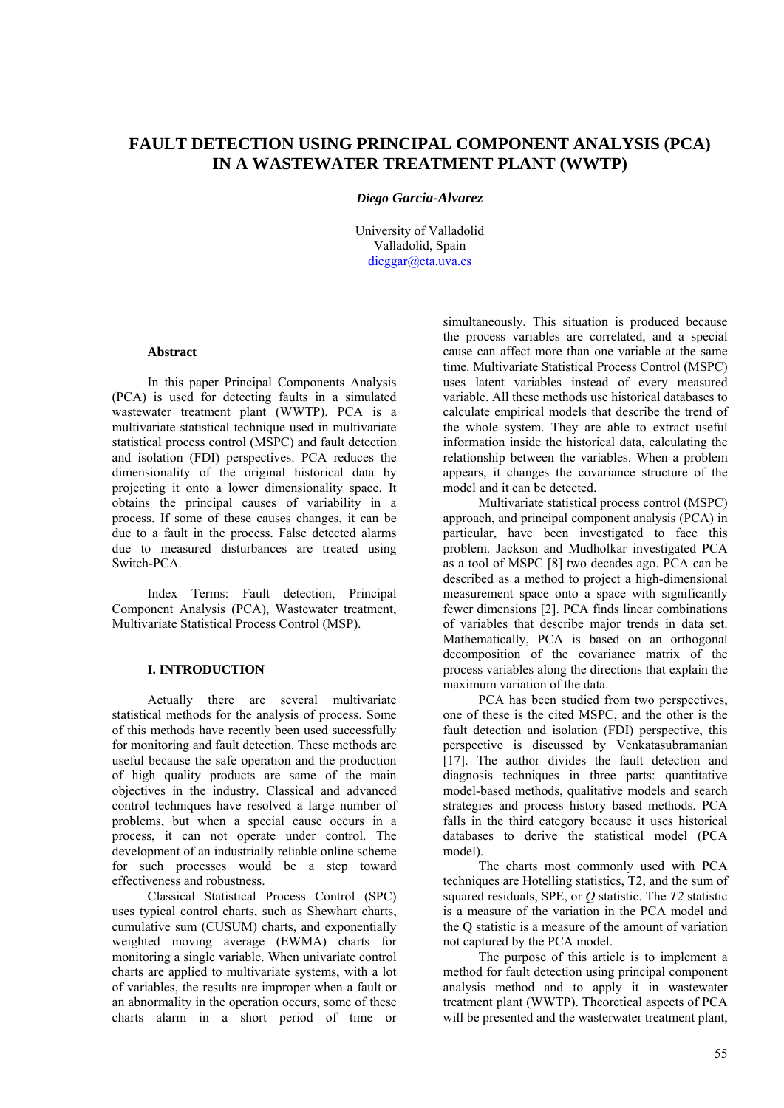# **FAULT DETECTION USING PRINCIPAL COMPONENT ANALYSIS (PCA) IN A WASTEWATER TREATMENT PLANT (WWTP)**

## *Diego Garcia-Alvarez*

University of Valladolid Valladolid, Spain dieggar@cta.uva.es

# **Abstract**

In this paper Principal Components Analysis (PCA) is used for detecting faults in a simulated wastewater treatment plant (WWTP). PCA is a multivariate statistical technique used in multivariate statistical process control (MSPC) and fault detection and isolation (FDI) perspectives. PCA reduces the dimensionality of the original historical data by projecting it onto a lower dimensionality space. It obtains the principal causes of variability in a process. If some of these causes changes, it can be due to a fault in the process. False detected alarms due to measured disturbances are treated using Switch-PCA.

Index Terms: Fault detection, Principal Component Analysis (PCA), Wastewater treatment, Multivariate Statistical Process Control (MSP).

# **I. INTRODUCTION**

Actually there are several multivariate statistical methods for the analysis of process. Some of this methods have recently been used successfully for monitoring and fault detection. These methods are useful because the safe operation and the production of high quality products are same of the main objectives in the industry. Classical and advanced control techniques have resolved a large number of problems, but when a special cause occurs in a process, it can not operate under control. The development of an industrially reliable online scheme for such processes would be a step toward effectiveness and robustness.

Classical Statistical Process Control (SPC) uses typical control charts, such as Shewhart charts, cumulative sum (CUSUM) charts, and exponentially weighted moving average (EWMA) charts for monitoring a single variable. When univariate control charts are applied to multivariate systems, with a lot of variables, the results are improper when a fault or an abnormality in the operation occurs, some of these charts alarm in a short period of time or

simultaneously. This situation is produced because the process variables are correlated, and a special cause can affect more than one variable at the same time. Multivariate Statistical Process Control (MSPC) uses latent variables instead of every measured variable. All these methods use historical databases to calculate empirical models that describe the trend of the whole system. They are able to extract useful information inside the historical data, calculating the relationship between the variables. When a problem appears, it changes the covariance structure of the model and it can be detected.

Multivariate statistical process control (MSPC) approach, and principal component analysis (PCA) in particular, have been investigated to face this problem. Jackson and Mudholkar investigated PCA as a tool of MSPC [8] two decades ago. PCA can be described as a method to project a high-dimensional measurement space onto a space with significantly fewer dimensions [2]. PCA finds linear combinations of variables that describe major trends in data set. Mathematically, PCA is based on an orthogonal decomposition of the covariance matrix of the process variables along the directions that explain the maximum variation of the data.

PCA has been studied from two perspectives, one of these is the cited MSPC, and the other is the fault detection and isolation (FDI) perspective, this perspective is discussed by Venkatasubramanian [17]. The author divides the fault detection and diagnosis techniques in three parts: quantitative model-based methods, qualitative models and search strategies and process history based methods. PCA falls in the third category because it uses historical databases to derive the statistical model (PCA model).

The charts most commonly used with PCA techniques are Hotelling statistics, T2, and the sum of squared residuals, SPE, or *Q* statistic. The *T2* statistic is a measure of the variation in the PCA model and the Q statistic is a measure of the amount of variation not captured by the PCA model.

The purpose of this article is to implement a method for fault detection using principal component analysis method and to apply it in wastewater treatment plant (WWTP). Theoretical aspects of PCA will be presented and the wasterwater treatment plant,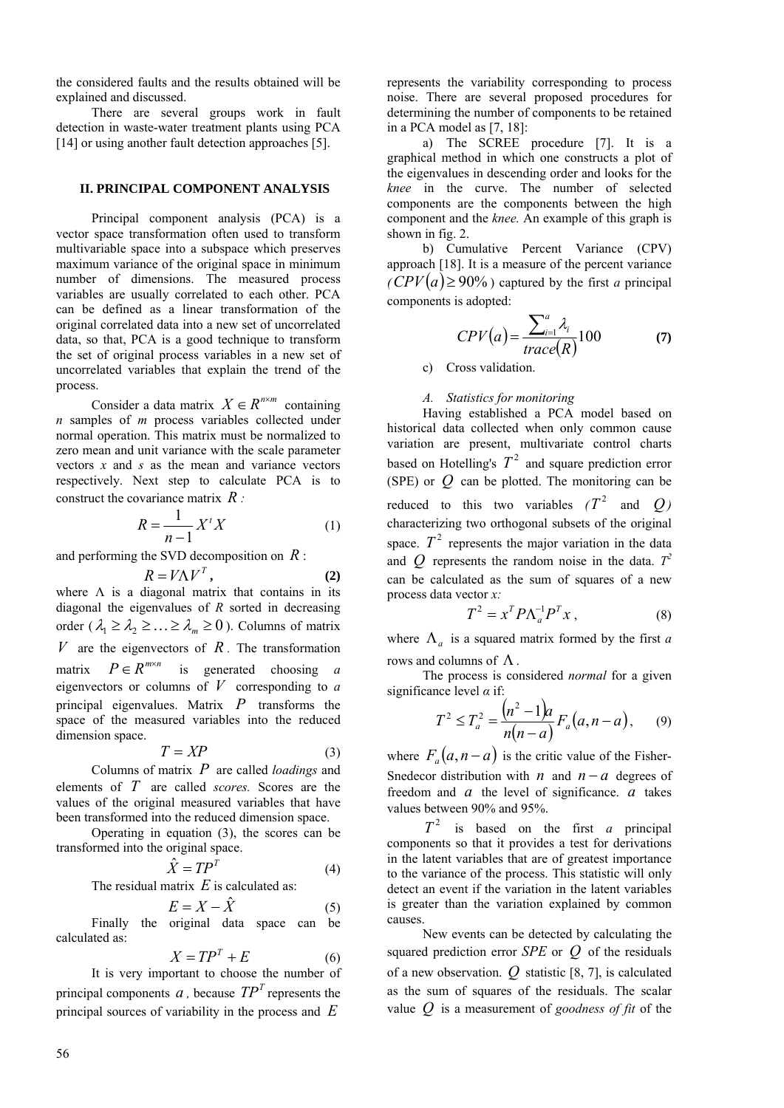the considered faults and the results obtained will be explained and discussed.

There are several groups work in fault detection in waste-water treatment plants using PCA [14] or using another fault detection approaches [5].

#### **II. PRINCIPAL COMPONENT ANALYSIS**

Principal component analysis (PCA) is a vector space transformation often used to transform multivariable space into a subspace which preserves maximum variance of the original space in minimum number of dimensions. The measured process variables are usually correlated to each other. PCA can be defined as a linear transformation of the original correlated data into a new set of uncorrelated data, so that, PCA is a good technique to transform the set of original process variables in a new set of uncorrelated variables that explain the trend of the process.

Consider a data matrix  $X \in R^{n \times m}$  containing *n* samples of *m* process variables collected under normal operation. This matrix must be normalized to zero mean and unit variance with the scale parameter vectors *x* and *s* as the mean and variance vectors respectively. Next step to calculate PCA is to construct the covariance matrix *R :*

$$
R = \frac{1}{n-1} X^t X \tag{1}
$$

and performing the SVD decomposition on *R* :

$$
R = V\Lambda V^T, \qquad (2)
$$

where  $\Lambda$  is a diagonal matrix that contains in its diagonal the eigenvalues of *R* sorted in decreasing order ( $\lambda_1 \geq \lambda_2 \geq \ldots \geq \lambda_m \geq 0$ ). Columns of matrix  $V$  are the eigenvectors of  $R$ . The transformation matrix  $P \in R^{m \times n}$  is generated choosing *a* eigenvectors or columns of  $V$  corresponding to  $a$ principal eigenvalues. Matrix *P* transforms the space of the measured variables into the reduced dimension space.

$$
T = XP \tag{3}
$$

Columns of matrix *P* are called *loadings* and elements of *T* are called *scores.* Scores are the values of the original measured variables that have been transformed into the reduced dimension space.

Operating in equation (3), the scores can be transformed into the original space.

$$
\hat{X} = T P^T \tag{4}
$$

The residual matrix *E* is calculated as:

$$
E = X - \hat{X} \tag{5}
$$

Finally the original data space can be calculated as:

$$
X = TP^T + E \tag{6}
$$

It is very important to choose the number of principal components  $a$ , because  $TP<sup>T</sup>$  represents the principal sources of variability in the process and *E*

represents the variability corresponding to process noise. There are several proposed procedures for determining the number of components to be retained in a PCA model as [7, 18]:

a) The SCREE procedure [7]. It is a graphical method in which one constructs a plot of the eigenvalues in descending order and looks for the *knee* in the curve. The number of selected components are the components between the high component and the *knee.* An example of this graph is shown in fig. 2.

b) Cumulative Percent Variance (CPV) approach [18]. It is a measure of the percent variance  $\angle$ *(CPV* $(a) \ge 90\%$ ) captured by the first *a* principal components is adopted:

$$
CPV(a) = \frac{\sum_{i=1}^{a} \lambda_i}{trace(R)} 100 \tag{7}
$$

c) Cross validation.

# *A. Statistics for monitoring*

Having established a PCA model based on historical data collected when only common cause variation are present, multivariate control charts based on Hotelling's  $T^2$  and square prediction error (SPE) or *Q* can be plotted. The monitoring can be reduced to this two variables  $(T^2$  and  $Q$ ) characterizing two orthogonal subsets of the original space.  $T^2$  represents the major variation in the data and *Q* represents the random noise in the data.  $T^2$ can be calculated as the sum of squares of a new process data vector *x:*

$$
T^2 = x^T P \Lambda_a^{-1} P^T x \,, \tag{8}
$$

where  $\Lambda_a$  is a squared matrix formed by the first *a* rows and columns of  $\Lambda$ .

The process is considered *normal* for a given significance level *α* if:

$$
T^2 \le T_a^2 = \frac{(n^2 - 1)a}{n(n - a)} F_a(a, n - a), \qquad (9)
$$

where  $F_a(a, n-a)$  is the critic value of the Fisher-Snedecor distribution with *n* and  $n - a$  degrees of freedom and *a* the level of significance. *a* takes values between 90% and 95%.

 $T^2$  is based on the first *a* principal components so that it provides a test for derivations in the latent variables that are of greatest importance to the variance of the process. This statistic will only detect an event if the variation in the latent variables is greater than the variation explained by common causes.

New events can be detected by calculating the squared prediction error *SPE* or *Q* of the residuals of a new observation. *Q* statistic [8, 7], is calculated as the sum of squares of the residuals. The scalar value *Q* is a measurement of *goodness of fit* of the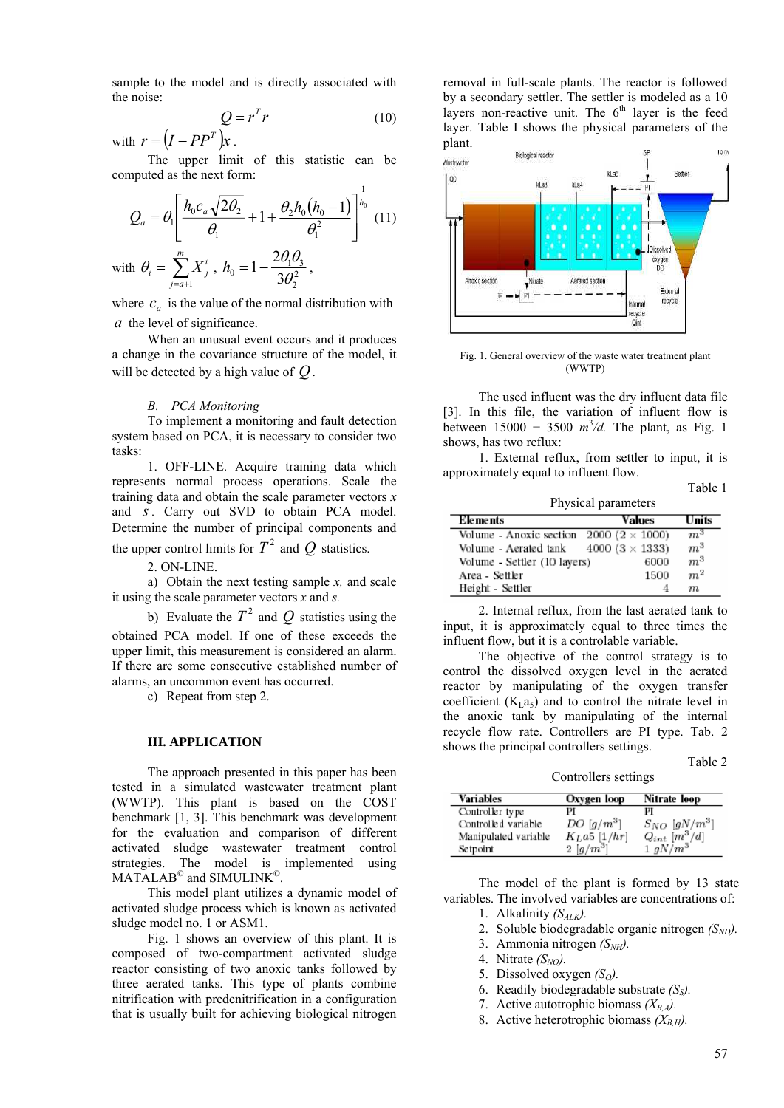sample to the model and is directly associated with the noise:

$$
Q = r^T r \tag{10}
$$

with  $r = (I - PP^T)x$ .

The upper limit of this statistic can be computed as the next form:

$$
Q_a = \theta_1 \left[ \frac{h_0 c_a \sqrt{2\theta_2}}{\theta_1} + 1 + \frac{\theta_2 h_0 (h_0 - 1)}{\theta_1^2} \right]^{1/2} (11)
$$
  
with  $\theta_i = \sum_{j=a+1}^{m} X_j^i$ ,  $h_0 = 1 - \frac{2\theta_1 \theta_3}{3\theta_2^2}$ ,

where  $c_a$  is the value of the normal distribution with *a* the level of significance.

When an unusual event occurs and it produces a change in the covariance structure of the model, it will be detected by a high value of *Q .*

#### *B. PCA Monitoring*

То implement a monitoring and fault detection system based on PCA, it is necessary to consider two tasks:

1. OFF-LINE. Acquire training data which represents normal process operations. Scale the training data and obtain the scale parameter vectors *x*  and *s*. Carry out SVD to obtain PCA model. Determine the number of principal components and the upper control limits for  $T^2$  and  $Q$  statistics.

2. ON-LINE.

a) Obtain the next testing sample *x,* and scale it using the scale parameter vectors *x* and *s.*

b) Evaluate the  $T^2$  and  $\overline{Q}$  statistics using the obtained PCA model. If one of these exceeds the upper limit, this measurement is considered an alarm. If there are some consecutive established number of alarms, an uncommon event has occurred.

c) Repeat from step 2.

#### **III. APPLICATION**

The approach presented in this paper has been tested in a simulated wastewater treatment plant (WWTP). This plant is based on the COST benchmark [1, 3]. This benchmark was development for the evaluation and comparison of different activated sludge wastewater treatment control strategies. The model is implemented using MATALAB<sup>©</sup> and SIMULINK<sup>©</sup>.

This model plant utilizes a dynamic model of activated sludge process which is known as activated sludge model no. 1 or ASM1.

Fig. 1 shows an overview of this plant. It is composed of two-compartment activated sludge reactor consisting of two anoxic tanks followed by three aerated tanks. This type of plants combine nitrification with predenitrification in a configuration that is usually built for achieving biological nitrogen

removal in full-scale plants. The reactor is followed by a secondary settler. The settler is modeled as a 10 layers non-reactive unit. The  $6<sup>th</sup>$  layer is the feed layer. Table I shows the physical parameters of the plant.



Fig. 1. General overview of the waste water treatment plant (WWTP)

The used influent was the dry influent data file [3]. In this file, the variation of influent flow is between 15000 − 3500 *m*<sup>3</sup> */d.* The plant, as Fig. 1 shows, has two reflux:

1. External reflux, from settler to input, it is approximately equal to influent flow.

| Physical parameters                              |                        |                |
|--------------------------------------------------|------------------------|----------------|
| Elements                                         | Values                 | Units          |
| Volume - Anoxic section 2000 ( $2 \times 1000$ ) |                        | $m^3$          |
| Volume - Aerated tank                            | 4000 (3 $\times$ 1333) | $m^3$          |
| Volume - Settler (10 layers)                     | 6000                   | $m^3$          |
| Area - Settler                                   | 1500                   | m <sup>2</sup> |
| Height - Settler                                 |                        | m              |

2. Internal reflux, from the last aerated tank to input, it is approximately equal to three times the influent flow, but it is a controlable variable.

The objective of the control strategy is to control the dissolved oxygen level in the aerated reactor by manipulating of the oxygen transfer coefficient  $(K<sub>L</sub>a<sub>5</sub>)$  and to control the nitrate level in the anoxic tank by manipulating of the internal recycle flow rate. Controllers are PI type. Tab. 2 shows the principal controllers settings.

Table 2 Controllers settings

| <b>Variables</b>     | Oxygen loop             | Nitrate loop                                        |
|----------------------|-------------------------|-----------------------------------------------------|
| Controller type      | PI                      | РІ                                                  |
| Controlled variable  | $DO[g/m^3]$             |                                                     |
| Manipulated variable | $K_L$ a5 [1/hr]         | $\frac{S_{NO}}{Q_{int}} \frac{[gN/m^3]}{[m_s^3/d]}$ |
| Setpoint             | $2\left[ g/m^3 \right]$ | $1 gN/m^3$                                          |

The model of the plant is formed by 13 state variables. The involved variables are concentrations of:

- 1. Alkalinity  $(S_{ALK})$ .
- 2. Soluble biodegradable organic nitrogen  $(S<sub>ND</sub>)$ .
- 3. Ammonia nitrogen  $(S<sub>NH</sub>)$ .
- 4. Nitrate  $(S_{NO})$ .
- 5. Dissolved oxygen  $(S<sub>O</sub>)$ .
- 6. Readily biodegradable substrate  $(S<sub>s</sub>)$ .
- 7. Active autotrophic biomass  $(X_{BA})$ .
- 8. Active heterotrophic biomass  $(X_{B,H})$ .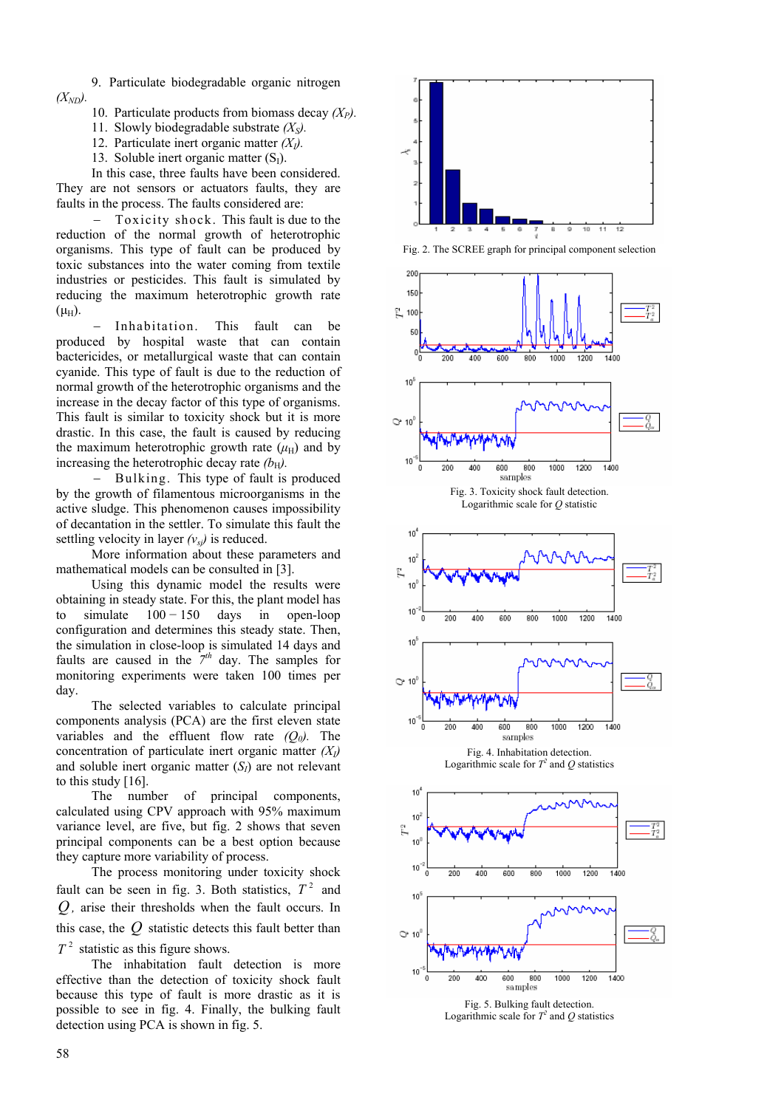9. Particulate biodegradable organic nitrogen  $(X_{ND})$ .

- 10. Particulate products from biomass decay  $(X_P)$ .
- 11. Slowly biodegradable substrate  $(X<sub>S</sub>)$ .
- 12. Particulate inert organic matter *(XI).*
- 13. Soluble inert organic matter  $(S<sub>I</sub>)$ .

In this case, three faults have been considered. They are not sensors or actuators faults, they are faults in the process. The faults considered are:

Toxicity shock. This fault is due to the reduction of the normal growth of heterotrophic organisms. This type of fault can be produced by toxic substances into the water coming from textile industries or pesticides. This fault is simulated by reducing the maximum heterotrophic growth rate  $(\mu_H)$ .

Inhabitation. This fault can be produced by hospital waste that can contain bactericides, or metallurgical waste that can contain cyanide. This type of fault is due to the reduction of normal growth of the heterotrophic organisms and the increase in the decay factor of this type of organisms. This fault is similar to toxicity shock but it is more drastic. In this case, the fault is caused by reducing the maximum heterotrophic growth rate  $(\mu_H)$  and by increasing the heterotrophic decay rate  $(b_H)$ .

− Bulking. This type of fault is produced by the growth of filamentous microorganisms in the active sludge. This phenomenon causes impossibility of decantation in the settler. To simulate this fault the settling velocity in layer  $(v_{si})$  is reduced.

More information about these parameters and mathematical models can be consulted in [3].

Using this dynamic model the results were obtaining in steady state. For this, the plant model has to simulate  $100 - 150$  days in open-loop configuration and determines this steady state. Then, the simulation in close-loop is simulated 14 days and faults are caused in the  $7<sup>th</sup>$  day. The samples for monitoring experiments were taken 100 times per day.

The selected variables to calculate principal components analysis (PCA) are the first eleven state variables and the effluent flow rate  $(Q_0)$ . The concentration of particulate inert organic matter *(XI)*  and soluble inert organic matter  $(S<sub>I</sub>)$  are not relevant to this study [16].

The number of principal components, calculated using CPV approach with 95% maximum variance level, are five, but fig. 2 shows that seven principal components can be a best option because they capture more variability of process.

The process monitoring under toxicity shock fault can be seen in fig. 3. Both statistics,  $T^2$  and *Q ,* arise their thresholds when the fault occurs. In this case, the *Q* statistic detects this fault better than  $T<sup>2</sup>$  statistic as this figure shows.

The inhabitation fault detection is more effective than the detection of toxicity shock fault because this type of fault is more drastic as it is possible to see in fig. 4. Finally, the bulking fault detection using PCA is shown in fig. 5.



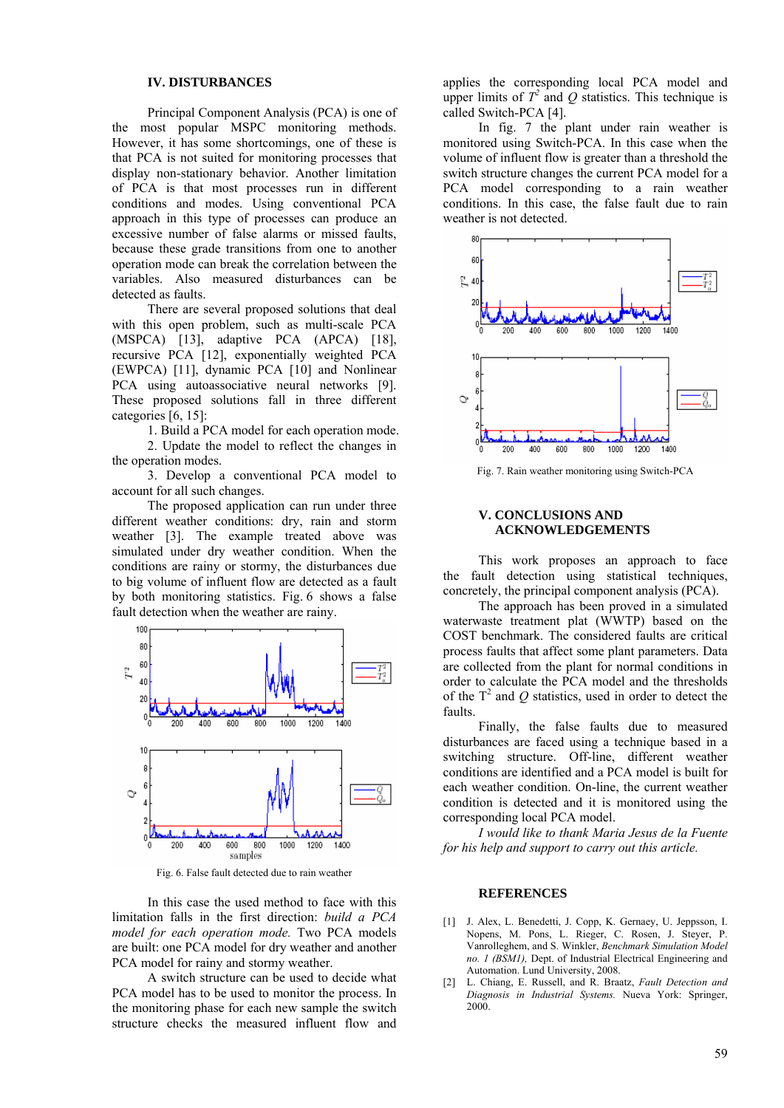### **IV. DISTURBANCES**

Principal Component Analysis (PCA) is one of the most popular MSPC monitoring methods. However, it has some shortcomings, one of these is that PCA is not suited for monitoring processes that display non-stationary behavior. Another limitation of PCA is that most processes run in different conditions and modes. Using conventional PCA approach in this type of processes can produce an excessive number of false alarms or missed faults, because these grade transitions from one to another operation mode can break the correlation between the variables. Also measured disturbances can be detected as faults.

There are several proposed solutions that deal with this open problem, such as multi-scale PCA (MSPCA) [13], adaptive PCA (APCA) [18], recursive PCA [12], exponentially weighted PCA (EWPCA) [11], dynamic PCA [10] and Nonlinear PCA using autoassociative neural networks [9]. These proposed solutions fall in three different categories [6, 15]:

1. Build a PCA model for each operation mode. 2. Update the model to reflect the changes in the operation modes.

3. Develop a conventional PCA model to account for all such changes.

The proposed application can run under three different weather conditions: dry, rain and storm weather [3]. The example treated above was simulated under dry weather condition. When the conditions are rainy or stormy, the disturbances due to big volume of influent flow are detected as a fault by both monitoring statistics. Fig. 6 shows a false fault detection when the weather are rainy.



Fig. 6. False fault detected due to rain weather

In this case the used method to face with this limitation falls in the first direction: *build a PCA model for each operation mode.* Two PCA models are built: one PCA model for dry weather and another PCA model for rainy and stormy weather.

A switch structure can be used to decide what PCA model has to be used to monitor the process. In the monitoring phase for each new sample the switch structure checks the measured influent flow and

applies the corresponding local PCA model and upper limits of  $T^2$  and  $Q$  statistics. This technique is called Switch-PCA [4].

In fig. 7 the plant under rain weather is monitored using Switch-PCA. In this case when the volume of influent flow is greater than a threshold the switch structure changes the current PCA model for a PCA model corresponding to a rain weather conditions. In this case, the false fault due to rain weather is not detected.



Fig. 7. Rain weather monitoring using Switch-PCA

## **V. CONCLUSIONS AND ACKNOWLEDGEMENTS**

This work proposes an approach to face the fault detection using statistical techniques, concretely, the principal component analysis (PCA).

The approach has been proved in a simulated waterwaste treatment plat (WWTP) based on the COST benchmark. The considered faults are critical process faults that affect some plant parameters. Data are collected from the plant for normal conditions in order to calculate the PCA model and the thresholds of the  $T^2$  and  $Q$  statistics, used in order to detect the faults.

Finally, the false faults due to measured disturbances are faced using a technique based in a switching structure. Off-line, different weather conditions are identified and a PCA model is built for each weather condition. On-line, the current weather condition is detected and it is monitored using the corresponding local PCA model.

*I would like to thank Maria Jesus de la Fuente for his help and support to carry out this article.* 

#### **REFERENCES**

- [1] J. Alex, L. Benedetti, J. Copp, K. Gernaey, U. Jeppsson, I. Nopens, M. Pons, L. Rieger, C. Rosen, J. Steyer, P. Vanrolleghem, and S. Winkler, *Benchmark Simulation Model no. 1 (BSM1),* Dept. of Industrial Electrical Engineering and Automation. Lund University, 2008.
- [2] L. Chiang, E. Russell, and R. Braatz, *Fault Detection and Diagnosis in Industrial Systems.* Nueva York: Springer, 2000.